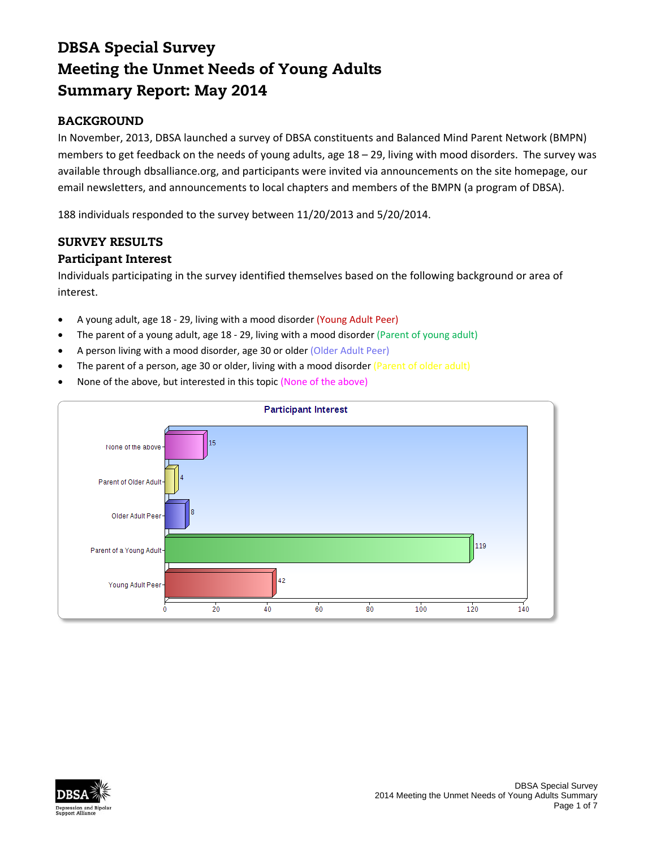# DBSA Special Survey Meeting the Unmet Needs of Young Adults Summary Report: May 2014

# BACKGROUND

In November, 2013, DBSA launched a survey of DBSA constituents and Balanced Mind Parent Network (BMPN) members to get feedback on the needs of young adults, age 18 – 29, living with mood disorders. The survey was available through dbsalliance.org, and participants were invited via announcements on the site homepage, our email newsletters, and announcements to local chapters and members of the BMPN (a program of DBSA).

188 individuals responded to the survey between 11/20/2013 and 5/20/2014.

# SURVEY RESULTS

## Participant Interest

Individuals participating in the survey identified themselves based on the following background or area of interest.

- A young adult, age 18 ‐ 29, living with a mood disorder (Young Adult Peer)
- The parent of a young adult, age 18 29, living with a mood disorder (Parent of young adult)
- A person living with a mood disorder, age 30 or older (Older Adult Peer)
- The parent of a person, age 30 or older, living with a mood disorder (Parent of older adult)
- None of the above, but interested in this topic (None of the above)



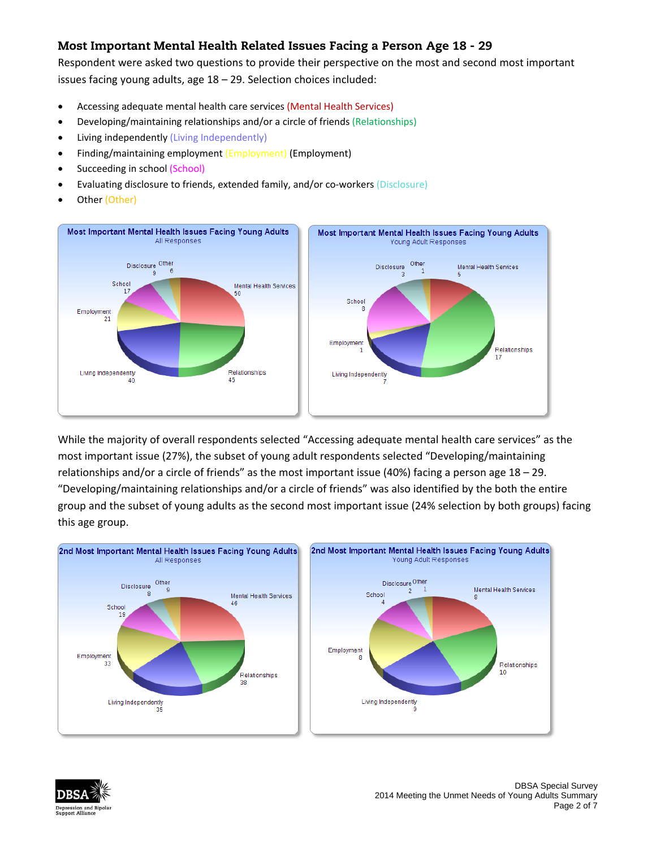# Most Important Mental Health Related Issues Facing a Person Age 18 - 29

Respondent were asked two questions to provide their perspective on the most and second most important issues facing young adults, age 18 – 29. Selection choices included:

- Accessing adequate mental health care services (Mental Health Services)
- Developing/maintaining relationships and/or a circle of friends (Relationships)
- Living independently (Living Independently)
- Finding/maintaining employment (Employment) (Employment)
- Succeeding in school (School)
- Evaluating disclosure to friends, extended family, and/or co-workers (Disclosure)
- Other (Other)



While the majority of overall respondents selected "Accessing adequate mental health care services" as the most important issue (27%), the subset of young adult respondents selected "Developing/maintaining relationships and/or a circle of friends" as the most important issue (40%) facing a person age 18 – 29. "Developing/maintaining relationships and/or a circle of friends" was also identified by the both the entire group and the subset of young adults as the second most important issue (24% selection by both groups) facing this age group.



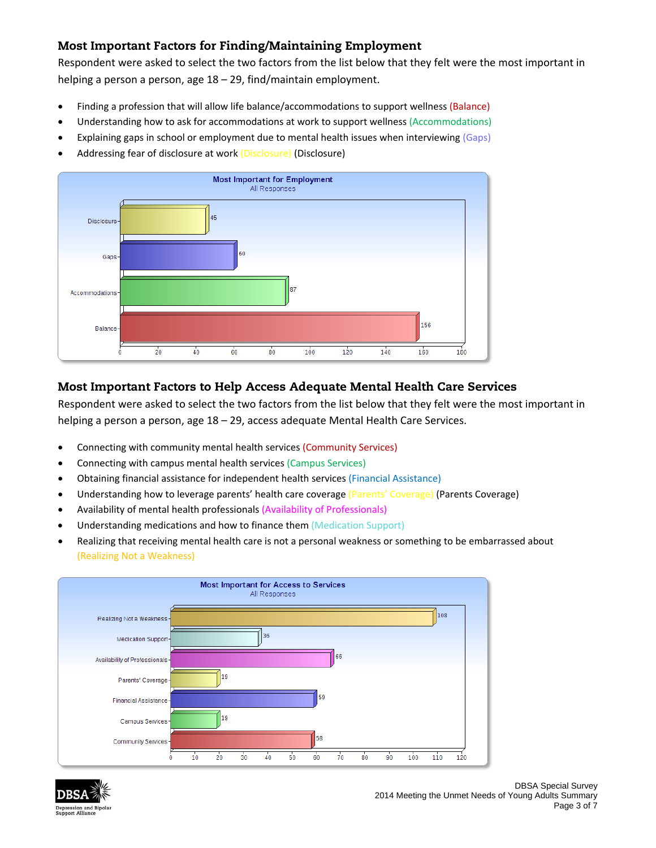## Most Important Factors for Finding/Maintaining Employment

Respondent were asked to select the two factors from the list below that they felt were the most important in helping a person a person, age 18 – 29, find/maintain employment.

- Finding a profession that will allow life balance/accommodations to support wellness (Balance)
- Understanding how to ask for accommodations at work to support wellness (Accommodations)
- Explaining gaps in school or employment due to mental health issues when interviewing (Gaps)
- Addressing fear of disclosure at work (Disclosure) (Disclosure)



## Most Important Factors to Help Access Adequate Mental Health Care Services

Respondent were asked to select the two factors from the list below that they felt were the most important in helping a person a person, age 18 – 29, access adequate Mental Health Care Services.

- Connecting with community mental health services (Community Services)
- Connecting with campus mental health services (Campus Services)
- Obtaining financial assistance for independent health services (Financial Assistance)
- Understanding how to leverage parents' health care coverage (Parents' Coverage) (Parents Coverage)
- Availability of mental health professionals (Availability of Professionals)
- Understanding medications and how to finance them (Medication Support)
- Realizing that receiving mental health care is not a personal weakness or something to be embarrassed about (Realizing Not a Weakness)



![](_page_2_Picture_17.jpeg)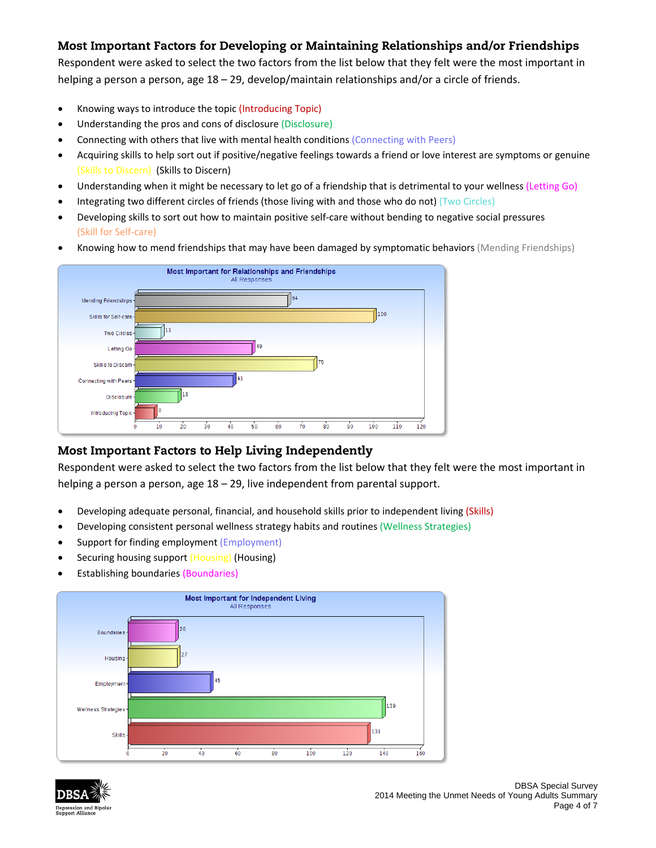# Most Important Factors for Developing or Maintaining Relationships and/or Friendships

Respondent were asked to select the two factors from the list below that they felt were the most important in helping a person a person, age 18 – 29, develop/maintain relationships and/or a circle of friends.

- Knowing ways to introduce the topic (Introducing Topic)
- Understanding the pros and cons of disclosure (Disclosure)
- Connecting with others that live with mental health conditions (Connecting with Peers)
- Acquiring skills to help sort out if positive/negative feelings towards a friend or love interest are symptoms or genuine (Skills to Discern) (Skills to Discern)
- Understanding when it might be necessary to let go of a friendship that is detrimental to your wellness (Letting Go)
- Integrating two different circles of friends (those living with and those who do not) (Two Circles)
- Developing skills to sort out how to maintain positive self‐care without bending to negative social pressures (Skill for Self‐care)
- Knowing how to mend friendships that may have been damaged by symptomatic behaviors (Mending Friendships)

![](_page_3_Figure_10.jpeg)

## Most Important Factors to Help Living Independently

Respondent were asked to select the two factors from the list below that they felt were the most important in helping a person a person, age 18 – 29, live independent from parental support.

- Developing adequate personal, financial, and household skills prior to independent living (Skills)
- Developing consistent personal wellness strategy habits and routines (Wellness Strategies)
- Support for finding employment (Employment)
- Securing housing support (Housing) (Housing)
- Establishing boundaries (Boundaries)

![](_page_3_Figure_18.jpeg)

![](_page_3_Picture_19.jpeg)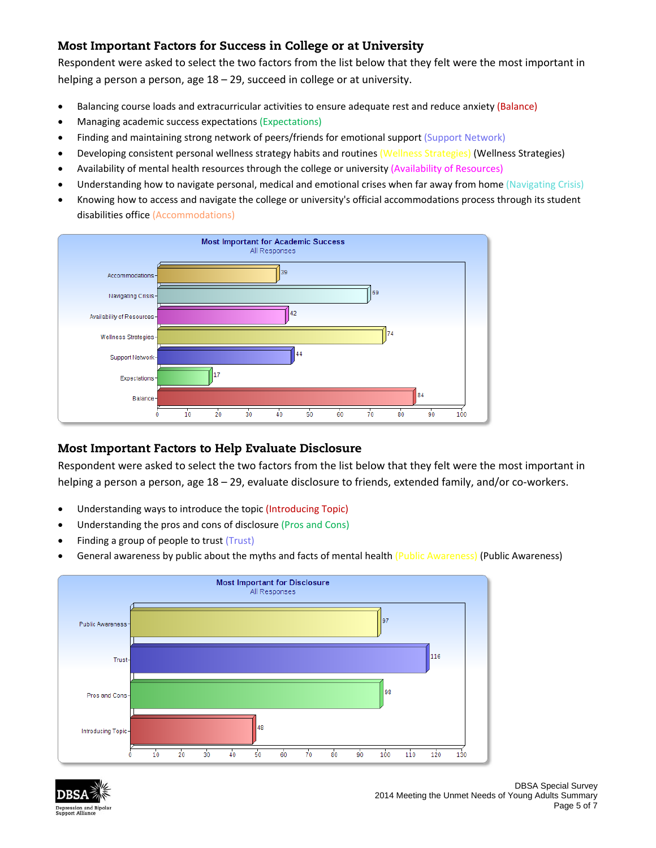## Most Important Factors for Success in College or at University

Respondent were asked to select the two factors from the list below that they felt were the most important in helping a person a person, age 18 – 29, succeed in college or at university.

- Balancing course loads and extracurricular activities to ensure adequate rest and reduce anxiety (Balance)
- Managing academic success expectations (Expectations)
- Finding and maintaining strong network of peers/friends for emotional support (Support Network)
- Developing consistent personal wellness strategy habits and routines (Wellness Strategies) (Wellness Strategies)
- Availability of mental health resources through the college or university (Availability of Resources)
- Understanding how to navigate personal, medical and emotional crises when far away from home (Navigating Crisis)
- Knowing how to access and navigate the college or university's official accommodations process through its student disabilities office (Accommodations)

![](_page_4_Figure_9.jpeg)

#### Most Important Factors to Help Evaluate Disclosure

Respondent were asked to select the two factors from the list below that they felt were the most important in helping a person a person, age 18 – 29, evaluate disclosure to friends, extended family, and/or co-workers.

- Understanding ways to introduce the topic (Introducing Topic)
- Understanding the pros and cons of disclosure (Pros and Cons)
- Finding a group of people to trust (Trust)
- General awareness by public about the myths and facts of mental health (Public Awareness) (Public Awareness)

![](_page_4_Figure_16.jpeg)

![](_page_4_Picture_17.jpeg)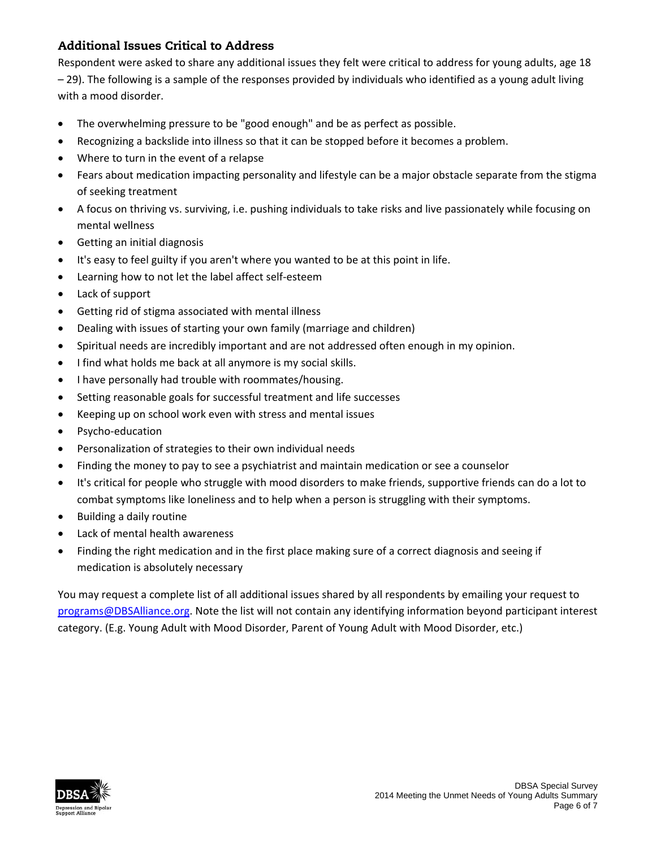# Additional Issues Critical to Address

Respondent were asked to share any additional issues they felt were critical to address for young adults, age 18 – 29). The following is a sample of the responses provided by individuals who identified as a young adult living with a mood disorder.

- The overwhelming pressure to be "good enough" and be as perfect as possible.
- Recognizing a backslide into illness so that it can be stopped before it becomes a problem.
- Where to turn in the event of a relapse
- Fears about medication impacting personality and lifestyle can be a major obstacle separate from the stigma of seeking treatment
- A focus on thriving vs. surviving, i.e. pushing individuals to take risks and live passionately while focusing on mental wellness
- Getting an initial diagnosis
- It's easy to feel guilty if you aren't where you wanted to be at this point in life.
- Learning how to not let the label affect self-esteem
- Lack of support
- Getting rid of stigma associated with mental illness
- Dealing with issues of starting your own family (marriage and children)
- Spiritual needs are incredibly important and are not addressed often enough in my opinion.
- I find what holds me back at all anymore is my social skills.
- I have personally had trouble with roommates/housing.
- Setting reasonable goals for successful treatment and life successes
- Keeping up on school work even with stress and mental issues
- Psycho-education
- Personalization of strategies to their own individual needs
- Finding the money to pay to see a psychiatrist and maintain medication or see a counselor
- It's critical for people who struggle with mood disorders to make friends, supportive friends can do a lot to combat symptoms like loneliness and to help when a person is struggling with their symptoms.
- Building a daily routine
- Lack of mental health awareness
- Finding the right medication and in the first place making sure of a correct diagnosis and seeing if medication is absolutely necessary

You may request a complete list of all additional issues shared by all respondents by emailing your request to programs@DBSAlliance.org. Note the list will not contain any identifying information beyond participant interest category. (E.g. Young Adult with Mood Disorder, Parent of Young Adult with Mood Disorder, etc.)

![](_page_5_Picture_26.jpeg)